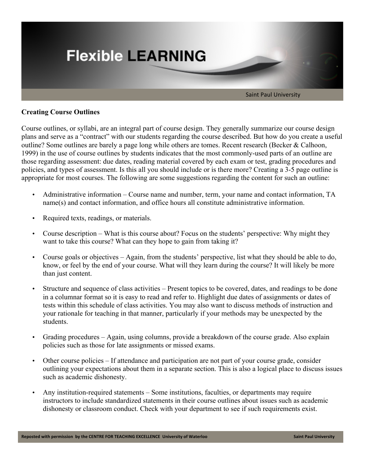

## **Creating Course Outlines**

Course outlines, or syllabi, are an integral part of course design. They generally summarize our course design plans and serve as a "contract" with our students regarding the course described. But how do you create a useful outline? Some outlines are barely a page long while others are tomes. Recent research (Becker & Calhoon, 1999) in the use of course outlines by students indicates that the most commonly-used parts of an outline are those regarding assessment: due dates, reading material covered by each exam or test, grading procedures and policies, and types of assessment. Is this all you should include or is there more? Creating a 3-5 page outline is appropriate for most courses. The following are some suggestions regarding the content for such an outline:

- Administrative information Course name and number, term, your name and contact information, TA name(s) and contact information, and office hours all constitute administrative information.
- Required texts, readings, or materials.
- Course description What is this course about? Focus on the students' perspective: Why might they want to take this course? What can they hope to gain from taking it?
- Course goals or objectives Again, from the students' perspective, list what they should be able to do, know, or feel by the end of your course. What will they learn during the course? It will likely be more than just content.
- Structure and sequence of class activities Present topics to be covered, dates, and readings to be done in a columnar format so it is easy to read and refer to. Highlight due dates of assignments or dates of tests within this schedule of class activities. You may also want to discuss methods of instruction and your rationale for teaching in that manner, particularly if your methods may be unexpected by the students.
- Grading procedures Again, using columns, provide a breakdown of the course grade. Also explain policies such as those for late assignments or missed exams.
- Other course policies If attendance and participation are not part of your course grade, consider outlining your expectations about them in a separate section. This is also a logical place to discuss issues such as academic dishonesty.
- Any institution-required statements Some institutions, faculties, or departments may require instructors to include standardized statements in their course outlines about issues such as academic dishonesty or classroom conduct. Check with your department to see if such requirements exist.